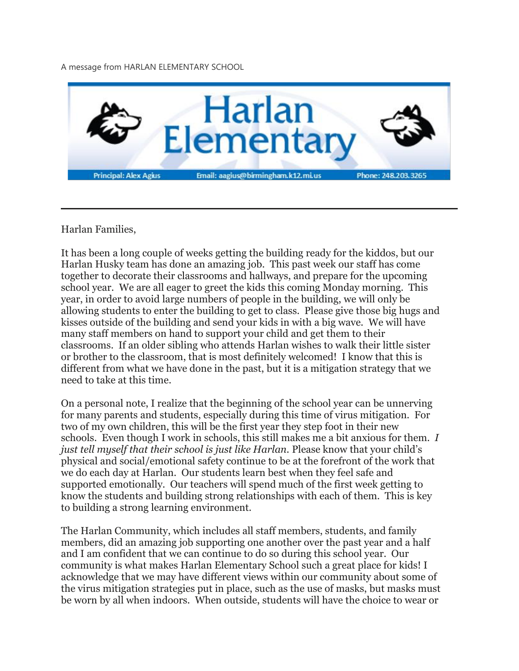A message from HARLAN ELEMENTARY SCHOOL



Harlan Families,

It has been a long couple of weeks getting the building ready for the kiddos, but our Harlan Husky team has done an amazing job. This past week our staff has come together to decorate their classrooms and hallways, and prepare for the upcoming school year. We are all eager to greet the kids this coming Monday morning. This year, in order to avoid large numbers of people in the building, we will only be allowing students to enter the building to get to class. Please give those big hugs and kisses outside of the building and send your kids in with a big wave. We will have many staff members on hand to support your child and get them to their classrooms. If an older sibling who attends Harlan wishes to walk their little sister or brother to the classroom, that is most definitely welcomed! I know that this is different from what we have done in the past, but it is a mitigation strategy that we need to take at this time.

On a personal note, I realize that the beginning of the school year can be unnerving for many parents and students, especially during this time of virus mitigation. For two of my own children, this will be the first year they step foot in their new schools. Even though I work in schools, this still makes me a bit anxious for them. *I just tell myself that their school is just like Harlan.* Please know that your child's physical and social/emotional safety continue to be at the forefront of the work that we do each day at Harlan. Our students learn best when they feel safe and supported emotionally. Our teachers will spend much of the first week getting to know the students and building strong relationships with each of them. This is key to building a strong learning environment.

The Harlan Community, which includes all staff members, students, and family members, did an amazing job supporting one another over the past year and a half and I am confident that we can continue to do so during this school year. Our community is what makes Harlan Elementary School such a great place for kids! I acknowledge that we may have different views within our community about some of the virus mitigation strategies put in place, such as the use of masks, but masks must be worn by all when indoors. When outside, students will have the choice to wear or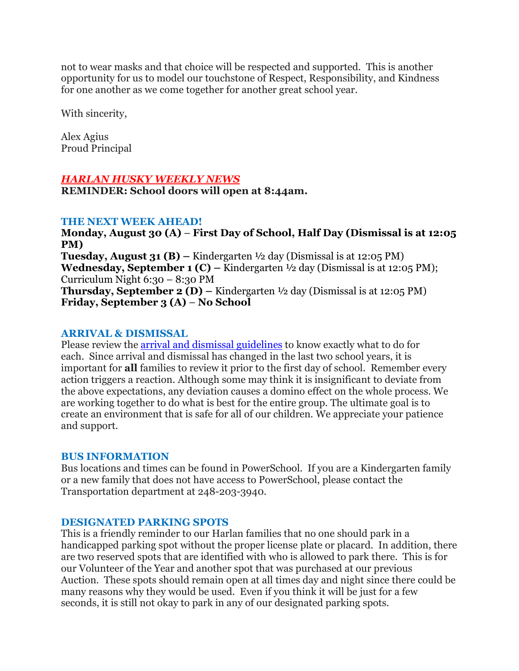not to wear masks and that choice will be respected and supported. This is another opportunity for us to model our touchstone of Respect, Responsibility, and Kindness for one another as we come together for another great school year.

With sincerity,

Alex Agius Proud Principal

## *HARLAN HUSKY WEEKLY NEWS*

**REMINDER: School doors will open at 8:44am.**

### **THE NEXT WEEK AHEAD!**

**Monday, August 30 (A)** – **First Day of School, Half Day (Dismissal is at 12:05 PM) Tuesday, August 31 (B) –** Kindergarten ½ day (Dismissal is at 12:05 PM) **Wednesday, September 1 (C) –** Kindergarten ½ day (Dismissal is at 12:05 PM); Curriculum Night 6:30 – 8:30 PM **Thursday, September 2 (D) –** Kindergarten ½ day (Dismissal is at 12:05 PM) **Friday, September 3 (A)** – **No School**

### **ARRIVAL & DISMISSAL**

Please review the arrival and dismissal [guidelines](https://drive.google.com/file/d/1xGg7e5gcifz-HCN8H03DabOjbBEddvmO/view?usp=sharing) to know exactly what to do for each. Since arrival and dismissal has changed in the last two school years, it is important for **all** families to review it prior to the first day of school. Remember every action triggers a reaction. Although some may think it is insignificant to deviate from the above expectations, any deviation causes a domino effect on the whole process. We are working together to do what is best for the entire group. The ultimate goal is to create an environment that is safe for all of our children. We appreciate your patience and support.

#### **BUS INFORMATION**

Bus locations and times can be found in PowerSchool. If you are a Kindergarten family or a new family that does not have access to PowerSchool, please contact the Transportation department at 248-203-3940.

### **DESIGNATED PARKING SPOTS**

This is a friendly reminder to our Harlan families that no one should park in a handicapped parking spot without the proper license plate or placard. In addition, there are two reserved spots that are identified with who is allowed to park there. This is for our Volunteer of the Year and another spot that was purchased at our previous Auction. These spots should remain open at all times day and night since there could be many reasons why they would be used. Even if you think it will be just for a few seconds, it is still not okay to park in any of our designated parking spots.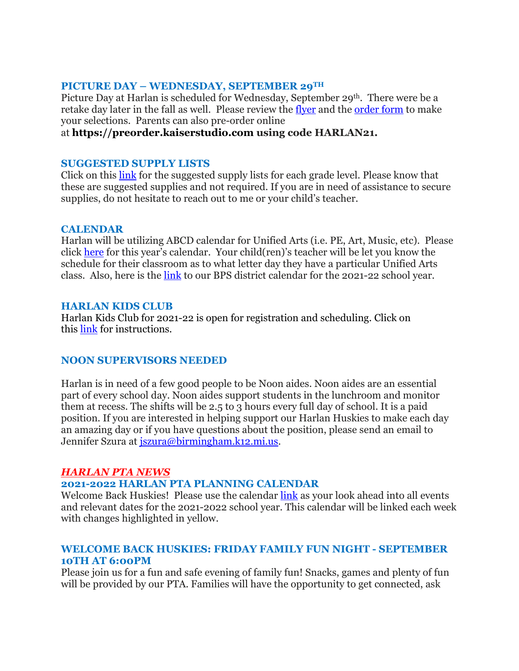### **PICTURE DAY – WEDNESDAY, SEPTEMBER 29TH**

Picture Day at Harlan is scheduled for Wednesday, September 29<sup>th</sup>. There were be a retake day later in the fall as well. Please review the [flyer](https://drive.google.com/file/d/1SEc_aTmoA4PyTmNDNhpPpdyAfM_T2nGe/view?usp=sharing) and the [order](https://drive.google.com/file/d/121U7IhsSFLdYDhPPyTGt4COGKzoIH7Fg/view?usp=sharing) form to make your selections. Parents can also pre-order online

### at **[https://preorder.kaiserstudio.com](https://preorder.kaiserstudio.com/) using code HARLAN21.**

#### **SUGGESTED SUPPLY LISTS**

Click on this [link](https://www.birmingham.k12.mi.us/domain/2532) for the suggested supply lists for each grade level. Please know that these are suggested supplies and not required. If you are in need of assistance to secure supplies, do not hesitate to reach out to me or your child's teacher.

#### **CALENDAR**

Harlan will be utilizing ABCD calendar for Unified Arts (i.e. PE, Art, Music, etc). Please click [here](https://drive.google.com/file/d/1Kzf42WPEsEEacL_NQ8YCqWIoQLHi9Afe/view?usp=sharing) for this year's calendar. Your child(ren)'s teacher will be let you know the schedule for their classroom as to what letter day they have a particular Unified Arts class. Also, here is the [link](https://drive.google.com/file/d/1QyZ5k9LSBKkfMKE3hDiSu1Q0IT317uin/view?usp=sharing) to our BPS district calendar for the 2021-22 school year.

#### **HARLAN KIDS CLUB**

Harlan Kids Club for 2021-22 is open for registration and scheduling. Click on this [link](https://www.birmingham.k12.mi.us/cms/lib/MI01908619/Centricity/Domain/494/2021-2022%20KIDS%20CLUB%20registration%20instructions.pdf) for instructions.

### **NOON SUPERVISORS NEEDED**

Harlan is in need of a few good people to be Noon aides. Noon aides are an essential part of every school day. Noon aides support students in the lunchroom and monitor them at recess. The shifts will be 2.5 to 3 hours every full day of school. It is a paid position. If you are interested in helping support our Harlan Huskies to make each day an amazing day or if you have questions about the position, please send an email to Jennifer Szura at [jszura@birmingham.k12.mi.us.](mailto:jszura@birmingham.k12.mi.us)

### *HARLAN PTA NEWS*

# **2021-2022 HARLAN PTA PLANNING CALENDAR**

Welcome Back Huskies! Please use the calendar [link](https://drive.google.com/file/d/1lon3HOOseUbWNKMjKKStusJYma2P-h05/view?usp=sharing) as your look ahead into all events and relevant dates for the 2021-2022 school year. This calendar will be linked each week with changes highlighted in yellow.

### **WELCOME BACK HUSKIES: FRIDAY FAMILY FUN NIGHT - SEPTEMBER 10TH AT 6:00PM**

Please join us for a fun and safe evening of family fun! Snacks, games and plenty of fun will be provided by our PTA. Families will have the opportunity to get connected, ask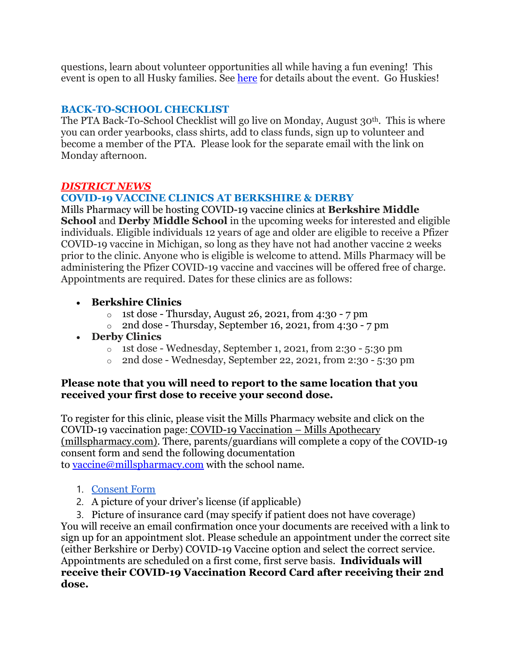questions, learn about volunteer opportunities all while having a fun evening! This event is open to all Husky families. See [here](https://drive.google.com/file/d/1eiQiHXU8pNB-uXBRYIF8YZuHlh1yXSoA/view?usp=sharing) for details about the event. Go Huskies!

# **BACK-TO-SCHOOL CHECKLIST**

The PTA Back-To-School Checklist will go live on Monday, August 30th. This is where you can order yearbooks, class shirts, add to class funds, sign up to volunteer and become a member of the PTA. Please look for the separate email with the link on Monday afternoon.

## *DISTRICT NEWS*

## **COVID-19 VACCINE CLINICS AT BERKSHIRE & DERBY**

Mills Pharmacy will be hosting COVID-19 vaccine clinics at **Berkshire Middle School** and **Derby Middle School** in the upcoming weeks for interested and eligible individuals. Eligible individuals 12 years of age and older are eligible to receive a Pfizer COVID-19 vaccine in Michigan, so long as they have not had another vaccine 2 weeks prior to the clinic. Anyone who is eligible is welcome to attend. Mills Pharmacy will be administering the Pfizer COVID-19 vaccine and vaccines will be offered free of charge. Appointments are required. Dates for these clinics are as follows:

## • **Berkshire Clinics**

- $\circ$  1st dose Thursday, August 26, 2021, from 4:30 7 pm
- $\circ$  2nd dose Thursday, September 16, 2021, from 4:30 7 pm

# • **Derby Clinics**

- $\circ$  1st dose Wednesday, September 1, 2021, from 2:30 5:30 pm
- $\circ$  2nd dose Wednesday, September 22, 2021, from 2:30 5:30 pm

### **Please note that you will need to report to the same location that you received your first dose to receive your second dose.**

To register for this clinic, please visit the Mills Pharmacy website and click on the COVID-19 vaccination page: COVID-19 [Vaccination](https://millspharmacy.com/pages/covid-19-vaccination) – Mills Apothecary [\(millspharmacy.com\).](https://millspharmacy.com/pages/covid-19-vaccination) There, parents/guardians will complete a copy of the COVID-19 consent form and send the following documentation to [vaccine@millspharmacy.com](mailto:vaccine@millspharmacy.com) with the school name.

- 1. [Consent](https://cdn.shopify.com/s/files/1/0625/2201/files/Covid_Consent_Updated_MILLS.pdf?v=1619026745) Form
- 2. A picture of your driver's license (if applicable)
- 3. Picture of insurance card (may specify if patient does not have coverage)

You will receive an email confirmation once your documents are received with a link to sign up for an appointment slot. Please schedule an appointment under the correct site (either Berkshire or Derby) COVID-19 Vaccine option and select the correct service. Appointments are scheduled on a first come, first serve basis. **Individuals will receive their COVID-19 Vaccination Record Card after receiving their 2nd dose.**